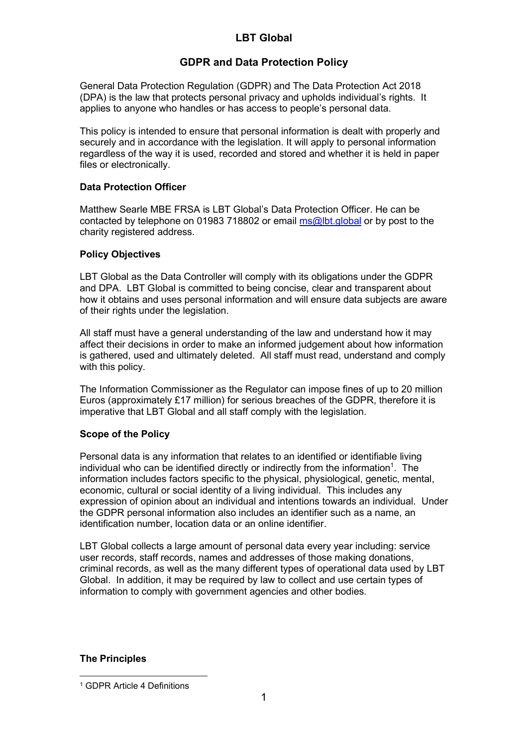# LBT Global

# GDPR and Data Protection Policy

General Data Protection Regulation (GDPR) and The Data Protection Act 2018 (DPA) is the law that protects personal privacy and upholds individual's rights. It applies to anyone who handles or has access to people's personal data.

This policy is intended to ensure that personal information is dealt with properly and securely and in accordance with the legislation. It will apply to personal information regardless of the way it is used, recorded and stored and whether it is held in paper files or electronically.

# Data Protection Officer

Matthew Searle MBE FRSA is LBT Global's Data Protection Officer. He can be contacted by telephone on 01983 718802 or email ms@lbt.global or by post to the charity registered address.

# Policy Objectives

LBT Global as the Data Controller will comply with its obligations under the GDPR and DPA. LBT Global is committed to being concise, clear and transparent about how it obtains and uses personal information and will ensure data subjects are aware of their rights under the legislation.

All staff must have a general understanding of the law and understand how it may affect their decisions in order to make an informed judgement about how information is gathered, used and ultimately deleted. All staff must read, understand and comply with this policy.

The Information Commissioner as the Regulator can impose fines of up to 20 million Euros (approximately £17 million) for serious breaches of the GDPR, therefore it is imperative that LBT Global and all staff comply with the legislation.

# Scope of the Policy

Personal data is any information that relates to an identified or identifiable living individual who can be identified directly or indirectly from the information<sup>1</sup>. The information includes factors specific to the physical, physiological, genetic, mental, economic, cultural or social identity of a living individual. This includes any expression of opinion about an individual and intentions towards an individual. Under the GDPR personal information also includes an identifier such as a name, an identification number, location data or an online identifier.

LBT Global collects a large amount of personal data every year including: service user records, staff records, names and addresses of those making donations, criminal records, as well as the many different types of operational data used by LBT Global. In addition, it may be required by law to collect and use certain types of information to comply with government agencies and other bodies.

### The Principles

<sup>1</sup> GDPR Article 4 Definitions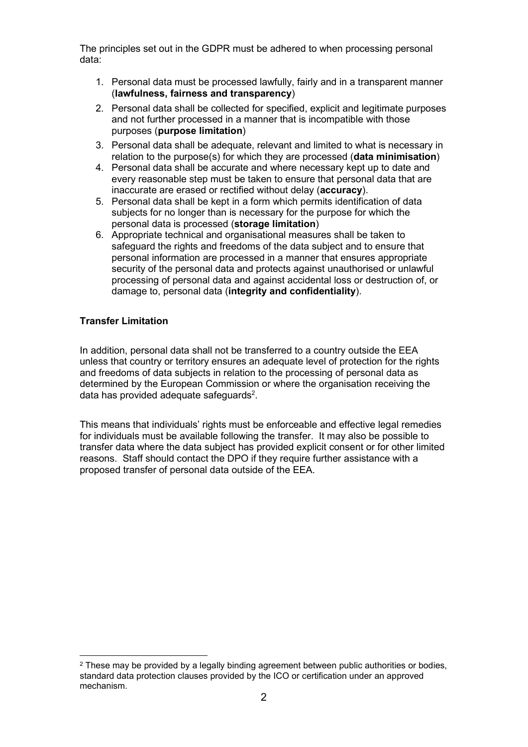The principles set out in the GDPR must be adhered to when processing personal data:

- 1. Personal data must be processed lawfully, fairly and in a transparent manner (lawfulness, fairness and transparency)
- 2. Personal data shall be collected for specified, explicit and legitimate purposes and not further processed in a manner that is incompatible with those purposes (purpose limitation)
- 3. Personal data shall be adequate, relevant and limited to what is necessary in relation to the purpose(s) for which they are processed (data minimisation)
- 4. Personal data shall be accurate and where necessary kept up to date and every reasonable step must be taken to ensure that personal data that are inaccurate are erased or rectified without delay (accuracy).
- 5. Personal data shall be kept in a form which permits identification of data subjects for no longer than is necessary for the purpose for which the personal data is processed (storage limitation)
- 6. Appropriate technical and organisational measures shall be taken to safeguard the rights and freedoms of the data subject and to ensure that personal information are processed in a manner that ensures appropriate security of the personal data and protects against unauthorised or unlawful processing of personal data and against accidental loss or destruction of, or damage to, personal data (integrity and confidentiality).

# Transfer Limitation

In addition, personal data shall not be transferred to a country outside the EEA unless that country or territory ensures an adequate level of protection for the rights and freedoms of data subjects in relation to the processing of personal data as determined by the European Commission or where the organisation receiving the data has provided adequate safeguards<sup>2</sup>.

This means that individuals' rights must be enforceable and effective legal remedies for individuals must be available following the transfer. It may also be possible to transfer data where the data subject has provided explicit consent or for other limited reasons. Staff should contact the DPO if they require further assistance with a proposed transfer of personal data outside of the EEA.

 $2$  These may be provided by a legally binding agreement between public authorities or bodies, standard data protection clauses provided by the ICO or certification under an approved mechanism.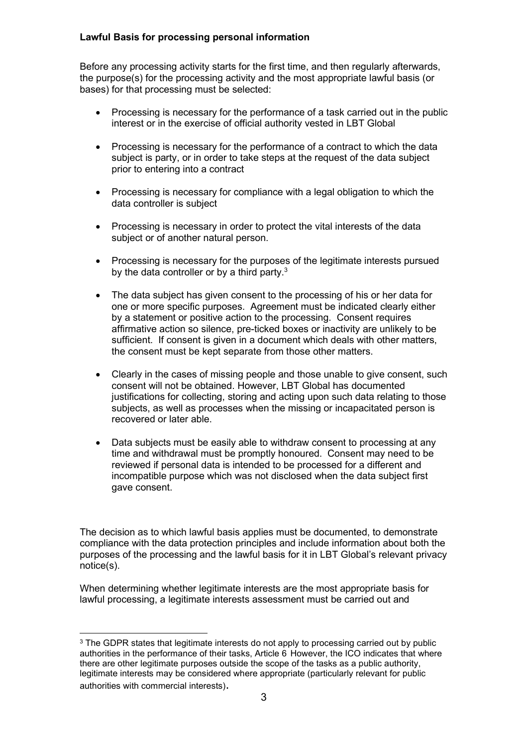# Lawful Basis for processing personal information

Before any processing activity starts for the first time, and then regularly afterwards, the purpose(s) for the processing activity and the most appropriate lawful basis (or bases) for that processing must be selected:

- Processing is necessary for the performance of a task carried out in the public interest or in the exercise of official authority vested in LBT Global
- Processing is necessary for the performance of a contract to which the data subject is party, or in order to take steps at the request of the data subject prior to entering into a contract
- Processing is necessary for compliance with a legal obligation to which the data controller is subject
- Processing is necessary in order to protect the vital interests of the data subject or of another natural person.
- Processing is necessary for the purposes of the legitimate interests pursued by the data controller or by a third party. $3$
- The data subject has given consent to the processing of his or her data for one or more specific purposes. Agreement must be indicated clearly either by a statement or positive action to the processing. Consent requires affirmative action so silence, pre-ticked boxes or inactivity are unlikely to be sufficient. If consent is given in a document which deals with other matters, the consent must be kept separate from those other matters.
- Clearly in the cases of missing people and those unable to give consent, such consent will not be obtained. However, LBT Global has documented justifications for collecting, storing and acting upon such data relating to those subjects, as well as processes when the missing or incapacitated person is recovered or later able.
- Data subjects must be easily able to withdraw consent to processing at any time and withdrawal must be promptly honoured. Consent may need to be reviewed if personal data is intended to be processed for a different and incompatible purpose which was not disclosed when the data subject first gave consent.

The decision as to which lawful basis applies must be documented, to demonstrate compliance with the data protection principles and include information about both the purposes of the processing and the lawful basis for it in LBT Global's relevant privacy notice(s).

When determining whether legitimate interests are the most appropriate basis for lawful processing, a legitimate interests assessment must be carried out and

<sup>&</sup>lt;sup>3</sup> The GDPR states that legitimate interests do not apply to processing carried out by public authorities in the performance of their tasks, Article 6 However, the ICO indicates that where there are other legitimate purposes outside the scope of the tasks as a public authority, legitimate interests may be considered where appropriate (particularly relevant for public authorities with commercial interests).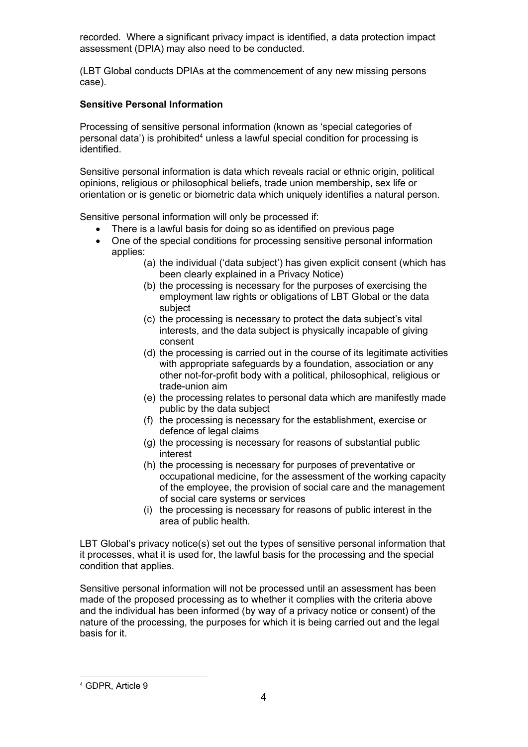recorded. Where a significant privacy impact is identified, a data protection impact assessment (DPIA) may also need to be conducted.

(LBT Global conducts DPIAs at the commencement of any new missing persons case).

# Sensitive Personal Information

Processing of sensitive personal information (known as 'special categories of personal data') is prohibited<sup>4</sup> unless a lawful special condition for processing is identified.

Sensitive personal information is data which reveals racial or ethnic origin, political opinions, religious or philosophical beliefs, trade union membership, sex life or orientation or is genetic or biometric data which uniquely identifies a natural person.

Sensitive personal information will only be processed if:

- There is a lawful basis for doing so as identified on previous page
- One of the special conditions for processing sensitive personal information applies:
	- (a) the individual ('data subject') has given explicit consent (which has been clearly explained in a Privacy Notice)
	- (b) the processing is necessary for the purposes of exercising the employment law rights or obligations of LBT Global or the data subject
	- (c) the processing is necessary to protect the data subject's vital interests, and the data subject is physically incapable of giving consent
	- (d) the processing is carried out in the course of its legitimate activities with appropriate safeguards by a foundation, association or any other not-for-profit body with a political, philosophical, religious or trade-union aim
	- (e) the processing relates to personal data which are manifestly made public by the data subject
	- (f) the processing is necessary for the establishment, exercise or defence of legal claims
	- (g) the processing is necessary for reasons of substantial public interest
	- (h) the processing is necessary for purposes of preventative or occupational medicine, for the assessment of the working capacity of the employee, the provision of social care and the management of social care systems or services
	- (i) the processing is necessary for reasons of public interest in the area of public health.

LBT Global's privacy notice(s) set out the types of sensitive personal information that it processes, what it is used for, the lawful basis for the processing and the special condition that applies.

Sensitive personal information will not be processed until an assessment has been made of the proposed processing as to whether it complies with the criteria above and the individual has been informed (by way of a privacy notice or consent) of the nature of the processing, the purposes for which it is being carried out and the legal basis for it.

<sup>4</sup> GDPR, Article 9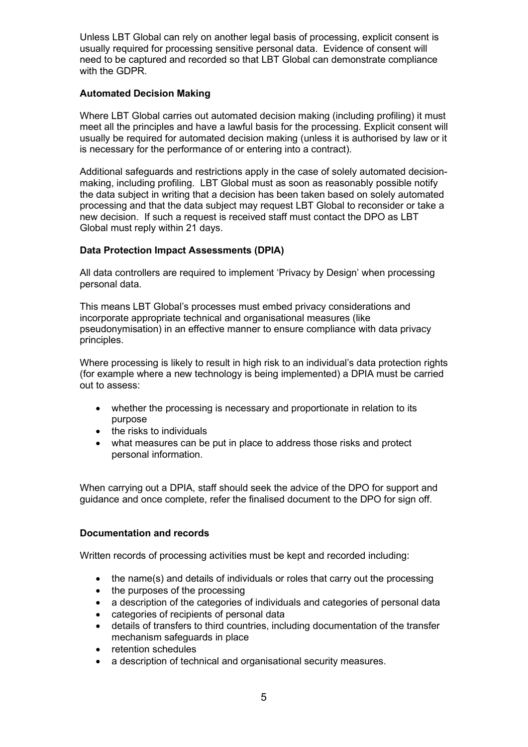Unless LBT Global can rely on another legal basis of processing, explicit consent is usually required for processing sensitive personal data. Evidence of consent will need to be captured and recorded so that LBT Global can demonstrate compliance with the GDPR.

# Automated Decision Making

Where LBT Global carries out automated decision making (including profiling) it must meet all the principles and have a lawful basis for the processing. Explicit consent will usually be required for automated decision making (unless it is authorised by law or it is necessary for the performance of or entering into a contract).

Additional safeguards and restrictions apply in the case of solely automated decisionmaking, including profiling. LBT Global must as soon as reasonably possible notify the data subject in writing that a decision has been taken based on solely automated processing and that the data subject may request LBT Global to reconsider or take a new decision. If such a request is received staff must contact the DPO as LBT Global must reply within 21 days.

# Data Protection Impact Assessments (DPIA)

All data controllers are required to implement 'Privacy by Design' when processing personal data.

This means LBT Global's processes must embed privacy considerations and incorporate appropriate technical and organisational measures (like pseudonymisation) in an effective manner to ensure compliance with data privacy principles.

Where processing is likely to result in high risk to an individual's data protection rights (for example where a new technology is being implemented) a DPIA must be carried out to assess:

- whether the processing is necessary and proportionate in relation to its purpose
- $\bullet$  the risks to individuals
- what measures can be put in place to address those risks and protect personal information.

When carrying out a DPIA, staff should seek the advice of the DPO for support and guidance and once complete, refer the finalised document to the DPO for sign off.

### Documentation and records

Written records of processing activities must be kept and recorded including:

- the name(s) and details of individuals or roles that carry out the processing
- the purposes of the processing
- a description of the categories of individuals and categories of personal data
- categories of recipients of personal data
- details of transfers to third countries, including documentation of the transfer mechanism safeguards in place
- retention schedules
- a description of technical and organisational security measures.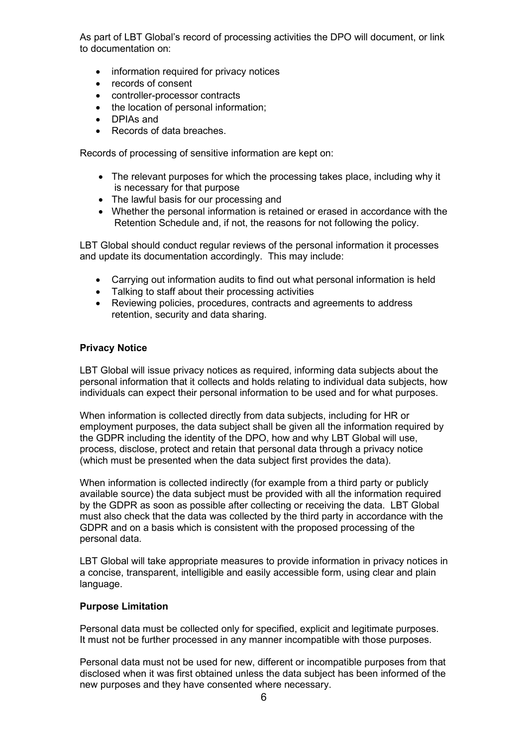As part of LBT Global's record of processing activities the DPO will document, or link to documentation on:

- information required for privacy notices
- records of consent
- controller-processor contracts
- the location of personal information;
- DPIAs and
- Records of data breaches.

Records of processing of sensitive information are kept on:

- The relevant purposes for which the processing takes place, including why it is necessary for that purpose
- The lawful basis for our processing and
- Whether the personal information is retained or erased in accordance with the Retention Schedule and, if not, the reasons for not following the policy.

LBT Global should conduct regular reviews of the personal information it processes and update its documentation accordingly. This may include:

- Carrying out information audits to find out what personal information is held
- Talking to staff about their processing activities
- Reviewing policies, procedures, contracts and agreements to address retention, security and data sharing.

#### Privacy Notice

LBT Global will issue privacy notices as required, informing data subjects about the personal information that it collects and holds relating to individual data subjects, how individuals can expect their personal information to be used and for what purposes.

When information is collected directly from data subjects, including for HR or employment purposes, the data subject shall be given all the information required by the GDPR including the identity of the DPO, how and why LBT Global will use, process, disclose, protect and retain that personal data through a privacy notice (which must be presented when the data subject first provides the data).

When information is collected indirectly (for example from a third party or publicly available source) the data subject must be provided with all the information required by the GDPR as soon as possible after collecting or receiving the data. LBT Global must also check that the data was collected by the third party in accordance with the GDPR and on a basis which is consistent with the proposed processing of the personal data.

LBT Global will take appropriate measures to provide information in privacy notices in a concise, transparent, intelligible and easily accessible form, using clear and plain language.

#### Purpose Limitation

Personal data must be collected only for specified, explicit and legitimate purposes. It must not be further processed in any manner incompatible with those purposes.

Personal data must not be used for new, different or incompatible purposes from that disclosed when it was first obtained unless the data subject has been informed of the new purposes and they have consented where necessary.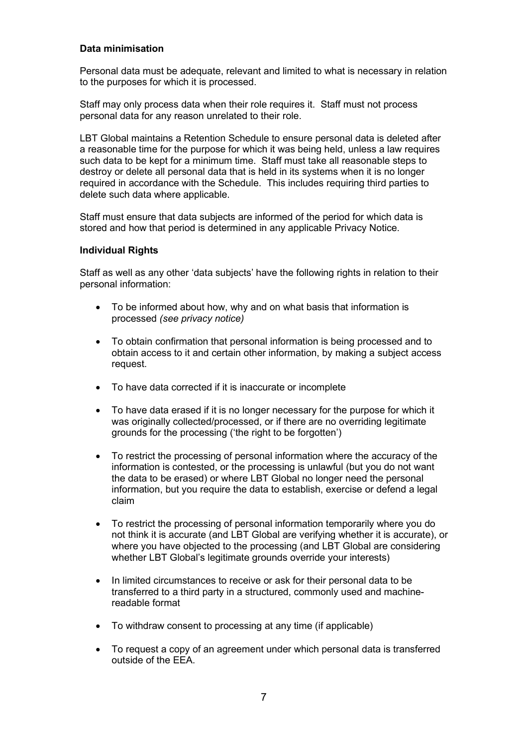### Data minimisation

Personal data must be adequate, relevant and limited to what is necessary in relation to the purposes for which it is processed.

Staff may only process data when their role requires it. Staff must not process personal data for any reason unrelated to their role.

LBT Global maintains a Retention Schedule to ensure personal data is deleted after a reasonable time for the purpose for which it was being held, unless a law requires such data to be kept for a minimum time. Staff must take all reasonable steps to destroy or delete all personal data that is held in its systems when it is no longer required in accordance with the Schedule. This includes requiring third parties to delete such data where applicable.

Staff must ensure that data subjects are informed of the period for which data is stored and how that period is determined in any applicable Privacy Notice.

### Individual Rights

Staff as well as any other 'data subjects' have the following rights in relation to their personal information:

- To be informed about how, why and on what basis that information is processed (see privacy notice)
- To obtain confirmation that personal information is being processed and to obtain access to it and certain other information, by making a subject access request.
- To have data corrected if it is inaccurate or incomplete
- To have data erased if it is no longer necessary for the purpose for which it was originally collected/processed, or if there are no overriding legitimate grounds for the processing ('the right to be forgotten')
- To restrict the processing of personal information where the accuracy of the information is contested, or the processing is unlawful (but you do not want the data to be erased) or where LBT Global no longer need the personal information, but you require the data to establish, exercise or defend a legal claim
- To restrict the processing of personal information temporarily where you do not think it is accurate (and LBT Global are verifying whether it is accurate), or where you have objected to the processing (and LBT Global are considering whether LBT Global's legitimate grounds override your interests)
- In limited circumstances to receive or ask for their personal data to be transferred to a third party in a structured, commonly used and machinereadable format
- To withdraw consent to processing at any time (if applicable)
- To request a copy of an agreement under which personal data is transferred outside of the EEA.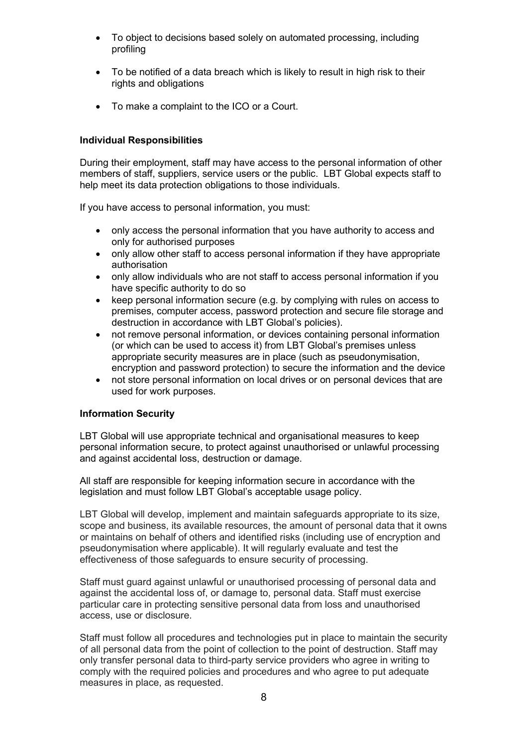- To object to decisions based solely on automated processing, including profiling
- To be notified of a data breach which is likely to result in high risk to their rights and obligations
- To make a complaint to the ICO or a Court.

# Individual Responsibilities

During their employment, staff may have access to the personal information of other members of staff, suppliers, service users or the public. LBT Global expects staff to help meet its data protection obligations to those individuals.

If you have access to personal information, you must:

- only access the personal information that you have authority to access and only for authorised purposes
- only allow other staff to access personal information if they have appropriate authorisation
- only allow individuals who are not staff to access personal information if you have specific authority to do so
- keep personal information secure (e.g. by complying with rules on access to premises, computer access, password protection and secure file storage and destruction in accordance with LBT Global's policies).
- not remove personal information, or devices containing personal information (or which can be used to access it) from LBT Global's premises unless appropriate security measures are in place (such as pseudonymisation, encryption and password protection) to secure the information and the device
- not store personal information on local drives or on personal devices that are used for work purposes.

### Information Security

LBT Global will use appropriate technical and organisational measures to keep personal information secure, to protect against unauthorised or unlawful processing and against accidental loss, destruction or damage.

All staff are responsible for keeping information secure in accordance with the legislation and must follow LBT Global's acceptable usage policy.

LBT Global will develop, implement and maintain safeguards appropriate to its size, scope and business, its available resources, the amount of personal data that it owns or maintains on behalf of others and identified risks (including use of encryption and pseudonymisation where applicable). It will regularly evaluate and test the effectiveness of those safeguards to ensure security of processing.

Staff must guard against unlawful or unauthorised processing of personal data and against the accidental loss of, or damage to, personal data. Staff must exercise particular care in protecting sensitive personal data from loss and unauthorised access, use or disclosure.

Staff must follow all procedures and technologies put in place to maintain the security of all personal data from the point of collection to the point of destruction. Staff may only transfer personal data to third-party service providers who agree in writing to comply with the required policies and procedures and who agree to put adequate measures in place, as requested.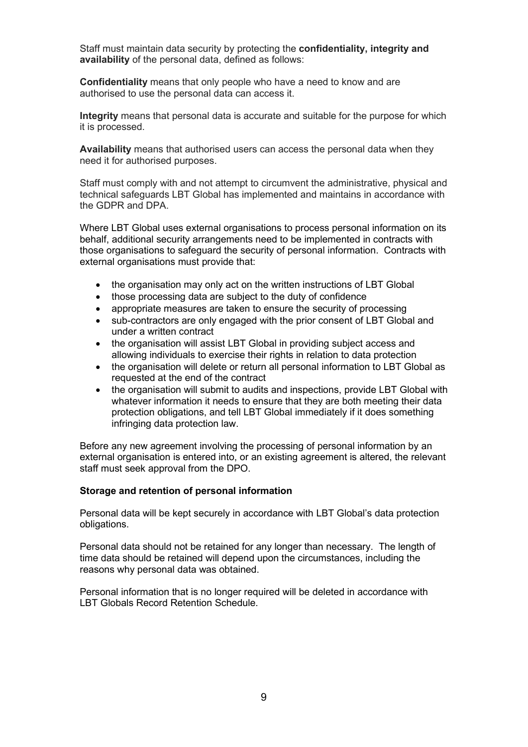Staff must maintain data security by protecting the confidentiality, integrity and availability of the personal data, defined as follows:

Confidentiality means that only people who have a need to know and are authorised to use the personal data can access it.

Integrity means that personal data is accurate and suitable for the purpose for which it is processed.

Availability means that authorised users can access the personal data when they need it for authorised purposes.

Staff must comply with and not attempt to circumvent the administrative, physical and technical safeguards LBT Global has implemented and maintains in accordance with the GDPR and DPA.

Where LBT Global uses external organisations to process personal information on its behalf, additional security arrangements need to be implemented in contracts with those organisations to safeguard the security of personal information. Contracts with external organisations must provide that:

- the organisation may only act on the written instructions of LBT Global
- those processing data are subject to the duty of confidence
- appropriate measures are taken to ensure the security of processing
- sub-contractors are only engaged with the prior consent of LBT Global and under a written contract
- the organisation will assist LBT Global in providing subject access and allowing individuals to exercise their rights in relation to data protection
- the organisation will delete or return all personal information to LBT Global as requested at the end of the contract
- the organisation will submit to audits and inspections, provide LBT Global with whatever information it needs to ensure that they are both meeting their data protection obligations, and tell LBT Global immediately if it does something infringing data protection law.

Before any new agreement involving the processing of personal information by an external organisation is entered into, or an existing agreement is altered, the relevant staff must seek approval from the DPO.

#### Storage and retention of personal information

Personal data will be kept securely in accordance with LBT Global's data protection obligations.

Personal data should not be retained for any longer than necessary. The length of time data should be retained will depend upon the circumstances, including the reasons why personal data was obtained.

Personal information that is no longer required will be deleted in accordance with LBT Globals Record Retention Schedule.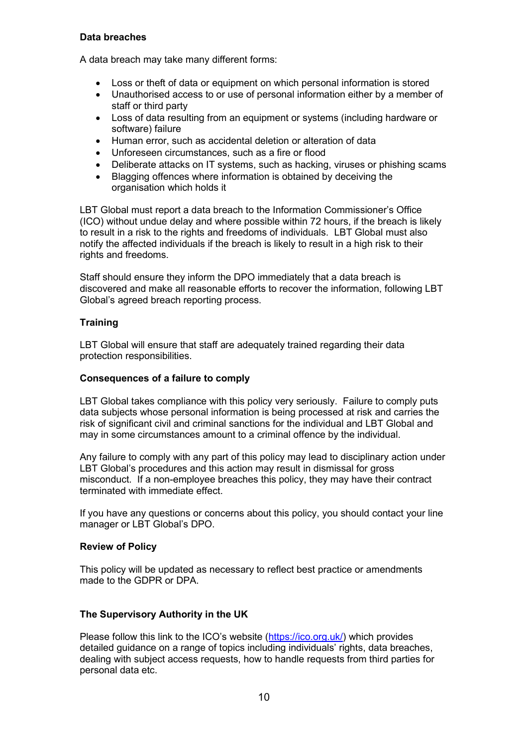# Data breaches

A data breach may take many different forms:

- Loss or theft of data or equipment on which personal information is stored
- Unauthorised access to or use of personal information either by a member of staff or third party
- Loss of data resulting from an equipment or systems (including hardware or software) failure
- Human error, such as accidental deletion or alteration of data
- Unforeseen circumstances, such as a fire or flood
- Deliberate attacks on IT systems, such as hacking, viruses or phishing scams
- Blagging offences where information is obtained by deceiving the organisation which holds it

LBT Global must report a data breach to the Information Commissioner's Office (ICO) without undue delay and where possible within 72 hours, if the breach is likely to result in a risk to the rights and freedoms of individuals. LBT Global must also notify the affected individuals if the breach is likely to result in a high risk to their rights and freedoms.

Staff should ensure they inform the DPO immediately that a data breach is discovered and make all reasonable efforts to recover the information, following LBT Global's agreed breach reporting process.

# **Training**

LBT Global will ensure that staff are adequately trained regarding their data protection responsibilities.

# Consequences of a failure to comply

LBT Global takes compliance with this policy very seriously. Failure to comply puts data subjects whose personal information is being processed at risk and carries the risk of significant civil and criminal sanctions for the individual and LBT Global and may in some circumstances amount to a criminal offence by the individual.

Any failure to comply with any part of this policy may lead to disciplinary action under LBT Global's procedures and this action may result in dismissal for gross misconduct. If a non-employee breaches this policy, they may have their contract terminated with immediate effect.

If you have any questions or concerns about this policy, you should contact your line manager or LBT Global's DPO.

### Review of Policy

This policy will be updated as necessary to reflect best practice or amendments made to the GDPR or DPA.

# The Supervisory Authority in the UK

Please follow this link to the ICO's website (https://ico.org.uk/) which provides detailed guidance on a range of topics including individuals' rights, data breaches, dealing with subject access requests, how to handle requests from third parties for personal data etc.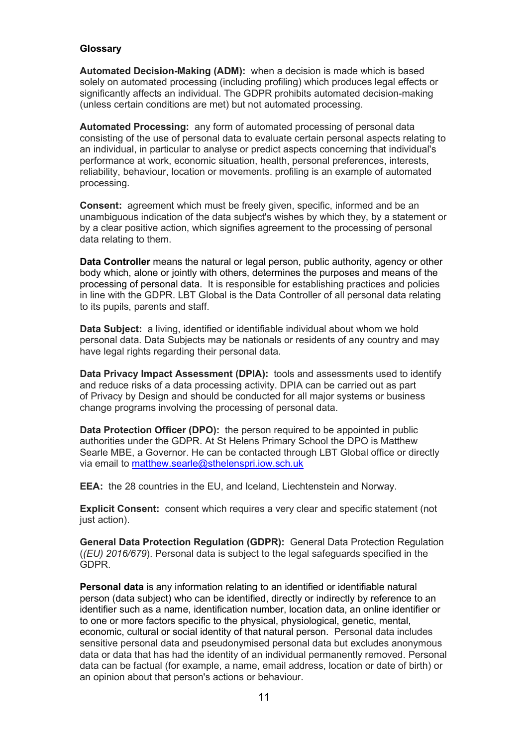# Glossary

Automated Decision-Making (ADM): when a decision is made which is based solely on automated processing (including profiling) which produces legal effects or significantly affects an individual. The GDPR prohibits automated decision-making (unless certain conditions are met) but not automated processing.

Automated Processing: any form of automated processing of personal data consisting of the use of personal data to evaluate certain personal aspects relating to an individual, in particular to analyse or predict aspects concerning that individual's performance at work, economic situation, health, personal preferences, interests, reliability, behaviour, location or movements. profiling is an example of automated processing.

Consent: agreement which must be freely given, specific, informed and be an unambiguous indication of the data subject's wishes by which they, by a statement or by a clear positive action, which signifies agreement to the processing of personal data relating to them.

Data Controller means the natural or legal person, public authority, agency or other body which, alone or jointly with others, determines the purposes and means of the processing of personal data. It is responsible for establishing practices and policies in line with the GDPR. LBT Global is the Data Controller of all personal data relating to its pupils, parents and staff.

Data Subject: a living, identified or identifiable individual about whom we hold personal data. Data Subjects may be nationals or residents of any country and may have legal rights regarding their personal data.

Data Privacy Impact Assessment (DPIA): tools and assessments used to identify and reduce risks of a data processing activity. DPIA can be carried out as part of Privacy by Design and should be conducted for all major systems or business change programs involving the processing of personal data.

Data Protection Officer (DPO): the person required to be appointed in public authorities under the GDPR. At St Helens Primary School the DPO is Matthew Searle MBE, a Governor. He can be contacted through LBT Global office or directly via email to matthew.searle@sthelenspri.iow.sch.uk

EEA: the 28 countries in the EU, and Iceland, Liechtenstein and Norway.

Explicit Consent: consent which requires a very clear and specific statement (not just action).

General Data Protection Regulation (GDPR): General Data Protection Regulation  $((EU)$  2016/679). Personal data is subject to the legal safeguards specified in the GDPR.

Personal data is any information relating to an identified or identifiable natural person (data subject) who can be identified, directly or indirectly by reference to an identifier such as a name, identification number, location data, an online identifier or to one or more factors specific to the physical, physiological, genetic, mental, economic, cultural or social identity of that natural person. Personal data includes sensitive personal data and pseudonymised personal data but excludes anonymous data or data that has had the identity of an individual permanently removed. Personal data can be factual (for example, a name, email address, location or date of birth) or an opinion about that person's actions or behaviour.